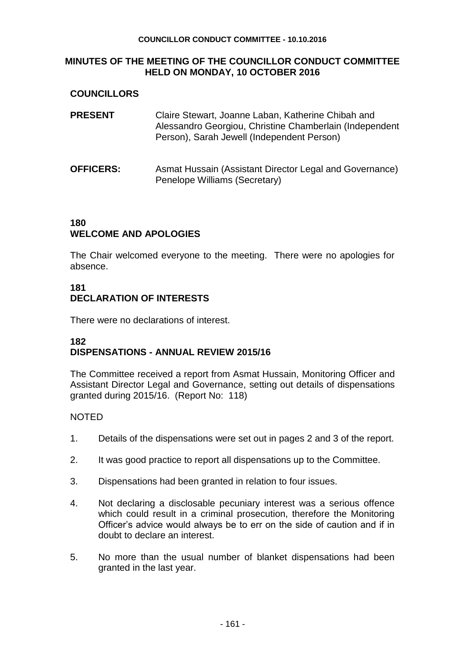#### **COUNCILLOR CONDUCT COMMITTEE - 10.10.2016**

#### **MINUTES OF THE MEETING OF THE COUNCILLOR CONDUCT COMMITTEE HELD ON MONDAY, 10 OCTOBER 2016**

### **COUNCILLORS**

| <b>PRESENT</b>   | Claire Stewart, Joanne Laban, Katherine Chibah and<br>Alessandro Georgiou, Christine Chamberlain (Independent<br>Person), Sarah Jewell (Independent Person) |
|------------------|-------------------------------------------------------------------------------------------------------------------------------------------------------------|
| <b>OFFICERS:</b> | Asmat Hussain (Assistant Director Legal and Governance)<br>Penelope Williams (Secretary)                                                                    |

#### **180 WELCOME AND APOLOGIES**

The Chair welcomed everyone to the meeting. There were no apologies for absence.

# **181 DECLARATION OF INTERESTS**

There were no declarations of interest.

# **182 DISPENSATIONS - ANNUAL REVIEW 2015/16**

The Committee received a report from Asmat Hussain, Monitoring Officer and Assistant Director Legal and Governance, setting out details of dispensations granted during 2015/16. (Report No: 118)

#### NOTED

- 1. Details of the dispensations were set out in pages 2 and 3 of the report.
- 2. It was good practice to report all dispensations up to the Committee.
- 3. Dispensations had been granted in relation to four issues.
- 4. Not declaring a disclosable pecuniary interest was a serious offence which could result in a criminal prosecution, therefore the Monitoring Officer's advice would always be to err on the side of caution and if in doubt to declare an interest.
- 5. No more than the usual number of blanket dispensations had been granted in the last year.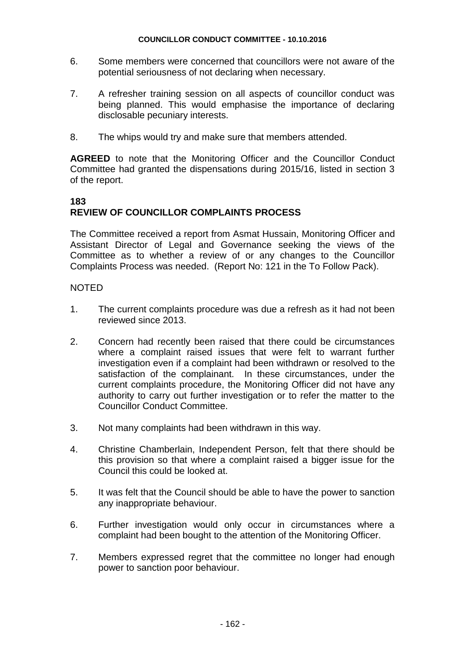- 6. Some members were concerned that councillors were not aware of the potential seriousness of not declaring when necessary.
- 7. A refresher training session on all aspects of councillor conduct was being planned. This would emphasise the importance of declaring disclosable pecuniary interests.
- 8. The whips would try and make sure that members attended.

**AGREED** to note that the Monitoring Officer and the Councillor Conduct Committee had granted the dispensations during 2015/16, listed in section 3 of the report.

### **183**

# **REVIEW OF COUNCILLOR COMPLAINTS PROCESS**

The Committee received a report from Asmat Hussain, Monitoring Officer and Assistant Director of Legal and Governance seeking the views of the Committee as to whether a review of or any changes to the Councillor Complaints Process was needed. (Report No: 121 in the To Follow Pack).

### **NOTED**

- 1. The current complaints procedure was due a refresh as it had not been reviewed since 2013.
- 2. Concern had recently been raised that there could be circumstances where a complaint raised issues that were felt to warrant further investigation even if a complaint had been withdrawn or resolved to the satisfaction of the complainant. In these circumstances, under the current complaints procedure, the Monitoring Officer did not have any authority to carry out further investigation or to refer the matter to the Councillor Conduct Committee.
- 3. Not many complaints had been withdrawn in this way.
- 4. Christine Chamberlain, Independent Person, felt that there should be this provision so that where a complaint raised a bigger issue for the Council this could be looked at.
- 5. It was felt that the Council should be able to have the power to sanction any inappropriate behaviour.
- 6. Further investigation would only occur in circumstances where a complaint had been bought to the attention of the Monitoring Officer.
- 7. Members expressed regret that the committee no longer had enough power to sanction poor behaviour.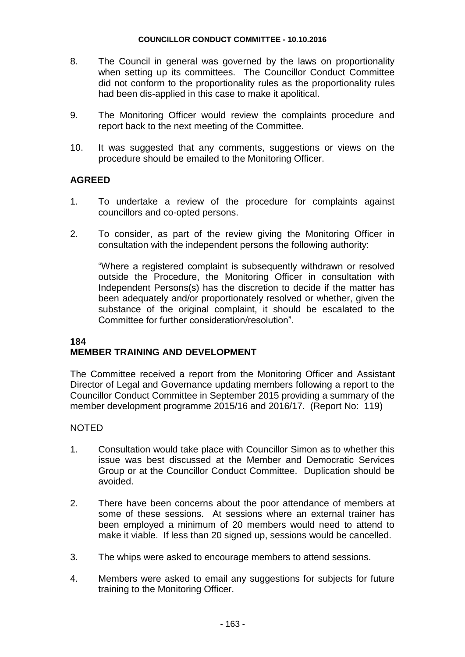- 8. The Council in general was governed by the laws on proportionality when setting up its committees. The Councillor Conduct Committee did not conform to the proportionality rules as the proportionality rules had been dis-applied in this case to make it apolitical.
- 9. The Monitoring Officer would review the complaints procedure and report back to the next meeting of the Committee.
- 10. It was suggested that any comments, suggestions or views on the procedure should be emailed to the Monitoring Officer.

### **AGREED**

- 1. To undertake a review of the procedure for complaints against councillors and co-opted persons.
- 2. To consider, as part of the review giving the Monitoring Officer in consultation with the independent persons the following authority:

"Where a registered complaint is subsequently withdrawn or resolved outside the Procedure, the Monitoring Officer in consultation with Independent Persons(s) has the discretion to decide if the matter has been adequately and/or proportionately resolved or whether, given the substance of the original complaint, it should be escalated to the Committee for further consideration/resolution".

### **184 MEMBER TRAINING AND DEVELOPMENT**

The Committee received a report from the Monitoring Officer and Assistant Director of Legal and Governance updating members following a report to the Councillor Conduct Committee in September 2015 providing a summary of the member development programme 2015/16 and 2016/17. (Report No: 119)

#### NOTED

- 1. Consultation would take place with Councillor Simon as to whether this issue was best discussed at the Member and Democratic Services Group or at the Councillor Conduct Committee. Duplication should be avoided.
- 2. There have been concerns about the poor attendance of members at some of these sessions. At sessions where an external trainer has been employed a minimum of 20 members would need to attend to make it viable. If less than 20 signed up, sessions would be cancelled.
- 3. The whips were asked to encourage members to attend sessions.
- 4. Members were asked to email any suggestions for subjects for future training to the Monitoring Officer.